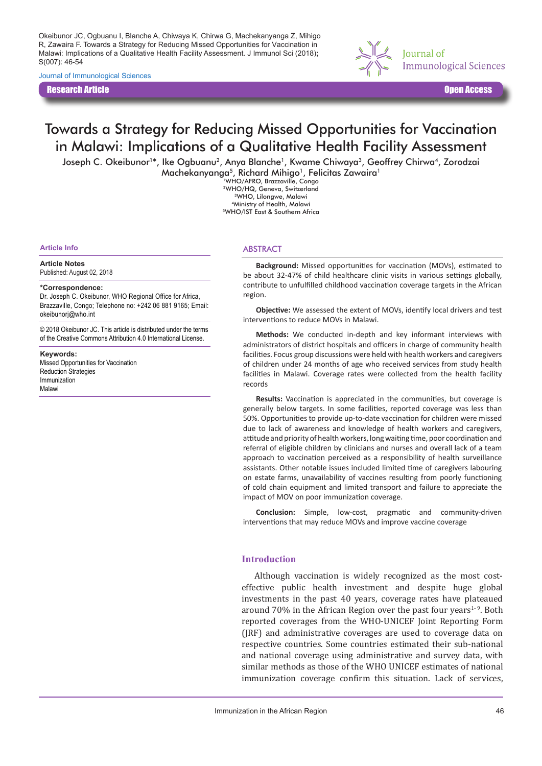Okeibunor JC, Ogbuanu I, Blanche A, Chiwaya K, Chirwa G, Machekanyanga Z, Mihigo R, Zawaira F. Towards a Strategy for Reducing Missed Opportunities for Vaccination in Malawi: Implications of a Qualitative Health Facility Assessment. J Immunol Sci (2018)**;** S(007): 46-54

Journal of Immunological Sciences

Research Article Open Access



# Towards a Strategy for Reducing Missed Opportunities for Vaccination in Malawi: Implications of a Qualitative Health Facility Assessment

Joseph C. Okeibunor<sup>1\*</sup>, Ike Ogbuanu<sup>2</sup>, Anya Blanche<sup>1</sup>, Kwame Chiwaya<sup>3</sup>, Geoffrey Chirwa<sup>4</sup>, Zorodzai Machekanyanga<sup>5</sup>, Richard Mihigo<sup>1</sup>, Felicitas Zawaira<sup>1</sup>

1WHO/AFRO, Brazzaville, Congo 2WHO/HQ, Geneva, Switzerland 3WHO, Lilongwe, Malawi 4Ministry of Health, Malawi 5WHO/IST East & Southern Africa

#### **Article Info**

#### **Article Notes**

Published: August 02, 2018

#### **\*Correspondence:**

Dr. Joseph C. Okeibunor, WHO Regional Office for Africa, Brazzaville, Congo; Telephone no: +242 06 881 9165; Email: okeibunorj@who.int

© 2018 Okeibunor JC. This article is distributed under the terms of the Creative Commons Attribution 4.0 International License.

#### **Keywords:**

Missed Opportunities for Vaccination Reduction Strategies Immunization Malawi

#### **ABSTRACT**

**Background:** Missed opportunities for vaccination (MOVs), estimated to be about 32-47% of child healthcare clinic visits in various settings globally, contribute to unfulfilled childhood vaccination coverage targets in the African region.

**Objective:** We assessed the extent of MOVs, identify local drivers and test interventions to reduce MOVs in Malawi.

**Methods:** We conducted in-depth and key informant interviews with administrators of district hospitals and officers in charge of community health facilities. Focus group discussions were held with health workers and caregivers of children under 24 months of age who received services from study health facilities in Malawi. Coverage rates were collected from the health facility records

**Results:** Vaccination is appreciated in the communities, but coverage is generally below targets. In some facilities, reported coverage was less than 50%. Opportunities to provide up-to-date vaccination for children were missed due to lack of awareness and knowledge of health workers and caregivers, attitude and priority of health workers, long waiting time, poor coordination and referral of eligible children by clinicians and nurses and overall lack of a team approach to vaccination perceived as a responsibility of health surveillance assistants. Other notable issues included limited time of caregivers labouring on estate farms, unavailability of vaccines resulting from poorly functioning of cold chain equipment and limited transport and failure to appreciate the impact of MOV on poor immunization coverage.

**Conclusion:** Simple, low-cost, pragmatic and community-driven interventions that may reduce MOVs and improve vaccine coverage

### **Introduction**

Although vaccination is widely recognized as the most costeffective public health investment and despite huge global investments in the past 40 years, coverage rates have plateaued around 70% in the African Region over the past four years<sup>1-9</sup>. Both reported coverages from the WHO-UNICEF Joint Reporting Form (JRF) and administrative coverages are used to coverage data on respective countries. Some countries estimated their sub-national and national coverage using administrative and survey data, with similar methods as those of the WHO UNICEF estimates of national immunization coverage confirm this situation. Lack of services,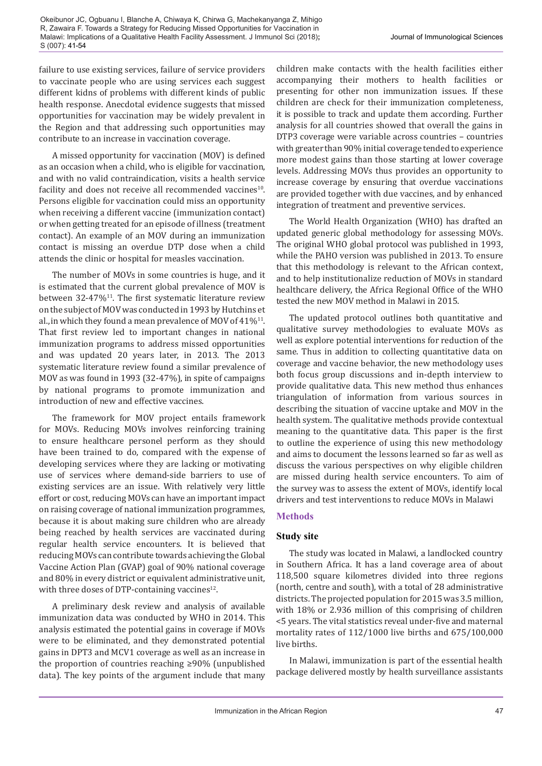failure to use existing services, failure of service providers to vaccinate people who are using services each suggest different kidns of problems with different kinds of public health response. Anecdotal evidence suggests that missed opportunities for vaccination may be widely prevalent in the Region and that addressing such opportunities may contribute to an increase in vaccination coverage.

A missed opportunity for vaccination (MOV) is defined as an occasion when a child, who is eligible for vaccination, and with no valid contraindication, visits a health service facility and does not receive all recommended vaccines<sup>10</sup>. Persons eligible for vaccination could miss an opportunity when receiving a different vaccine (immunization contact) or when getting treated for an episode of illness (treatment contact). An example of an MOV during an immunization contact is missing an overdue DTP dose when a child attends the clinic or hospital for measles vaccination.

The number of MOVs in some countries is huge, and it is estimated that the current global prevalence of MOV is between  $32-47\%$ <sup>11</sup>. The first systematic literature review on the subject of MOV was conducted in 1993 by Hutchins et al., in which they found a mean prevalence of MOV of  $41\%^{11}$ . That first review led to important changes in national immunization programs to address missed opportunities and was updated 20 years later, in 2013. The 2013 systematic literature review found a similar prevalence of MOV as was found in 1993 (32-47%), in spite of campaigns by national programs to promote immunization and introduction of new and effective vaccines.

The framework for MOV project entails framework for MOVs. Reducing MOVs involves reinforcing training to ensure healthcare personel perform as they should have been trained to do, compared with the expense of developing services where they are lacking or motivating use of services where demand-side barriers to use of existing services are an issue. With relatively very little effort or cost, reducing MOVs can have an important impact on raising coverage of national immunization programmes, because it is about making sure children who are already being reached by health services are vaccinated during regular health service encounters. It is believed that reducing MOVs can contribute towards achieving the Global Vaccine Action Plan (GVAP) goal of 90% national coverage and 80% in every district or equivalent administrative unit, with three doses of DTP-containing vaccines $12$ .

A preliminary desk review and analysis of available immunization data was conducted by WHO in 2014. This analysis estimated the potential gains in coverage if MOVs were to be eliminated, and they demonstrated potential gains in DPT3 and MCV1 coverage as well as an increase in the proportion of countries reaching ≥90% (unpublished data). The key points of the argument include that many

children make contacts with the health facilities either accompanying their mothers to health facilities or presenting for other non immunization issues. If these children are check for their immunization completeness, it is possible to track and update them according. Further analysis for all countries showed that overall the gains in DTP3 coverage were variable across countries – countries with greater than 90% initial coverage tended to experience more modest gains than those starting at lower coverage levels. Addressing MOVs thus provides an opportunity to increase coverage by ensuring that overdue vaccinations are provided together with due vaccines, and by enhanced integration of treatment and preventive services.

The World Health Organization (WHO) has drafted an updated generic global methodology for assessing MOVs. The original WHO global protocol was published in 1993, while the PAHO version was published in 2013. To ensure that this methodology is relevant to the African context, and to help institutionalize reduction of MOVs in standard healthcare delivery, the Africa Regional Office of the WHO tested the new MOV method in Malawi in 2015.

The updated protocol outlines both quantitative and qualitative survey methodologies to evaluate MOVs as well as explore potential interventions for reduction of the same. Thus in addition to collecting quantitative data on coverage and vaccine behavior, the new methodology uses both focus group discussions and in-depth interview to provide qualitative data. This new method thus enhances triangulation of information from various sources in describing the situation of vaccine uptake and MOV in the health system. The qualitative methods provide contextual meaning to the quantitative data. This paper is the first to outline the experience of using this new methodology and aims to document the lessons learned so far as well as discuss the various perspectives on why eligible children are missed during health service encounters. To aim of the survey was to assess the extent of MOVs, identify local drivers and test interventions to reduce MOVs in Malawi

# **Methods**

# **Study site**

The study was located in Malawi, a landlocked country in Southern Africa. It has a land coverage area of about 118,500 square kilometres divided into three regions (north, centre and south), with a total of 28 administrative districts. The projected population for 2015 was 3.5 million, with 18% or 2.936 million of this comprising of children <5 years. The vital statistics reveal under-five and maternal mortality rates of 112/1000 live births and 675/100,000 live births.

In Malawi, immunization is part of the essential health package delivered mostly by health surveillance assistants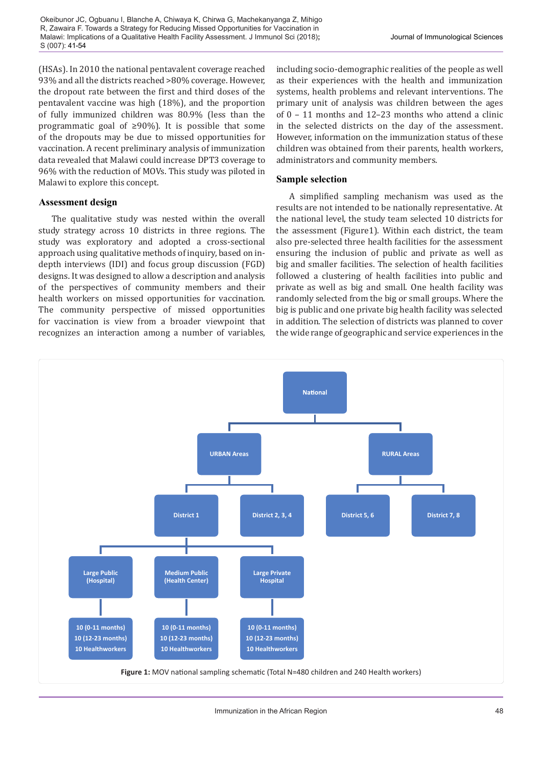Okeibunor JC, Ogbuanu I, Blanche A, Chiwaya K, Chirwa G, Machekanyanga Z, Mihigo R, Zawaira F. Towards a Strategy for Reducing Missed Opportunities for Vaccination in Malawi: Implications of a Qualitative Health Facility Assessment. J Immunol Sci (2018)**;** S (007): 41-54

(HSAs). In 2010 the national pentavalent coverage reached 93% and all the districts reached >80% coverage. However, the dropout rate between the first and third doses of the pentavalent vaccine was high (18%), and the proportion of fully immunized children was 80.9% (less than the programmatic goal of ≥90%). It is possible that some of the dropouts may be due to missed opportunities for vaccination. A recent preliminary analysis of immunization data revealed that Malawi could increase DPT3 coverage to 96% with the reduction of MOVs. This study was piloted in Malawi to explore this concept.

### **Assessment design**

The qualitative study was nested within the overall study strategy across 10 districts in three regions. The study was exploratory and adopted a cross-sectional approach using qualitative methods of inquiry, based on indepth interviews (IDI) and focus group discussion (FGD) designs. It was designed to allow a description and analysis of the perspectives of community members and their health workers on missed opportunities for vaccination. The community perspective of missed opportunities for vaccination is view from a broader viewpoint that recognizes an interaction among a number of variables,

including socio-demographic realities of the people as well as their experiences with the health and immunization systems, health problems and relevant interventions. The primary unit of analysis was children between the ages of 0 – 11 months and 12–23 months who attend a clinic in the selected districts on the day of the assessment. However, information on the immunization status of these children was obtained from their parents, health workers, administrators and community members.

### **Sample selection**

A simplified sampling mechanism was used as the results are not intended to be nationally representative. At the national level, the study team selected 10 districts for the assessment (Figure1). Within each district, the team also pre-selected three health facilities for the assessment ensuring the inclusion of public and private as well as big and smaller facilities. The selection of health facilities followed a clustering of health facilities into public and private as well as big and small. One health facility was randomly selected from the big or small groups. Where the big is public and one private big health facility was selected in addition. The selection of districts was planned to cover the wide range of geographic and service experiences in the

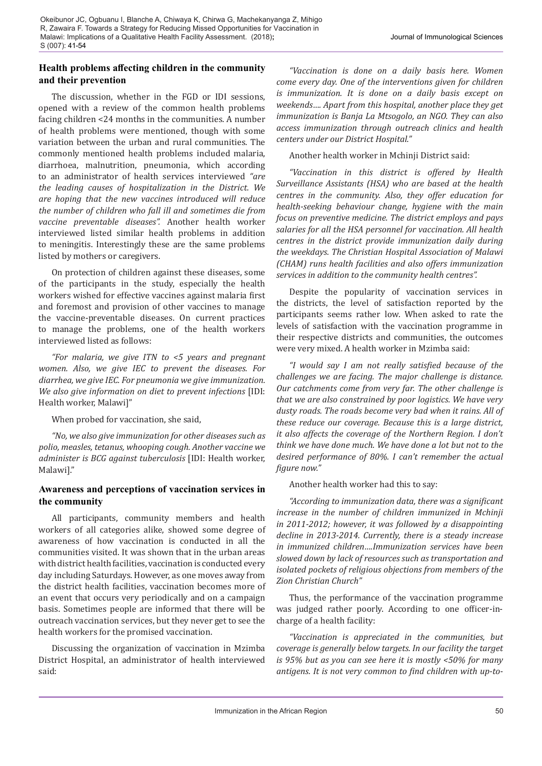# **Health problems affecting children in the community and their prevention**

The discussion, whether in the FGD or IDI sessions, opened with a review of the common health problems facing children <24 months in the communities. A number of health problems were mentioned, though with some variation between the urban and rural communities. The commonly mentioned health problems included malaria, diarrhoea, malnutrition, pneumonia, which according to an administrator of health services interviewed *"are the leading causes of hospitalization in the District. We are hoping that the new vaccines introduced will reduce the number of children who fall ill and sometimes die from vaccine preventable diseases".* Another health worker interviewed listed similar health problems in addition to meningitis. Interestingly these are the same problems listed by mothers or caregivers.

On protection of children against these diseases, some of the participants in the study, especially the health workers wished for effective vaccines against malaria first and foremost and provision of other vaccines to manage the vaccine-preventable diseases. On current practices to manage the problems, one of the health workers interviewed listed as follows:

*"For malaria, we give ITN to <5 years and pregnant women. Also, we give IEC to prevent the diseases. For diarrhea, we give IEC. For pneumonia we give immunization. We also give information on diet to prevent infections* [IDI: Health worker, Malawi]"

When probed for vaccination, she said,

*"No, we also give immunization for other diseases such as polio, measles, tetanus, whooping cough. Another vaccine we administer is BCG against tuberculosis* [IDI: Health worker, Malawi]."

# **Awareness and perceptions of vaccination services in the community**

All participants, community members and health workers of all categories alike, showed some degree of awareness of how vaccination is conducted in all the communities visited. It was shown that in the urban areas with district health facilities, vaccination is conducted every day including Saturdays. However, as one moves away from the district health facilities, vaccination becomes more of an event that occurs very periodically and on a campaign basis. Sometimes people are informed that there will be outreach vaccination services, but they never get to see the health workers for the promised vaccination.

Discussing the organization of vaccination in Mzimba District Hospital, an administrator of health interviewed said:

*"Vaccination is done on a daily basis here. Women come every day. One of the interventions given for children is immunization. It is done on a daily basis except on weekends…. Apart from this hospital, another place they get immunization is Banja La Mtsogolo, an NGO. They can also access immunization through outreach clinics and health centers under our District Hospital."*

Another health worker in Mchinji District said:

*"Vaccination in this district is offered by Health Surveillance Assistants (HSA) who are based at the health centres in the community. Also, they offer education for health-seeking behaviour change, hygiene with the main focus on preventive medicine. The district employs and pays salaries for all the HSA personnel for vaccination. All health centres in the district provide immunization daily during the weekdays. The Christian Hospital Association of Malawi (CHAM) runs health facilities and also offers immunization services in addition to the community health centres".*

Despite the popularity of vaccination services in the districts, the level of satisfaction reported by the participants seems rather low. When asked to rate the levels of satisfaction with the vaccination programme in their respective districts and communities, the outcomes were very mixed. A health worker in Mzimba said:

*"I would say I am not really satisfied because of the challenges we are facing. The major challenge is distance. Our catchments come from very far. The other challenge is that we are also constrained by poor logistics. We have very dusty roads. The roads become very bad when it rains. All of these reduce our coverage. Because this is a large district, it also affects the coverage of the Northern Region. I don't think we have done much. We have done a lot but not to the desired performance of 80%. I can't remember the actual figure now."*

Another health worker had this to say:

*"According to immunization data, there was a significant increase in the number of children immunized in Mchinji in 2011-2012; however, it was followed by a disappointing decline in 2013-2014. Currently, there is a steady increase in immunized children….Immunization services have been slowed down by lack of resources such as transportation and isolated pockets of religious objections from members of the Zion Christian Church"*

Thus, the performance of the vaccination programme was judged rather poorly. According to one officer-incharge of a health facility:

*"Vaccination is appreciated in the communities, but coverage is generally below targets. In our facility the target is 95% but as you can see here it is mostly <50% for many antigens. It is not very common to find children with up-to-*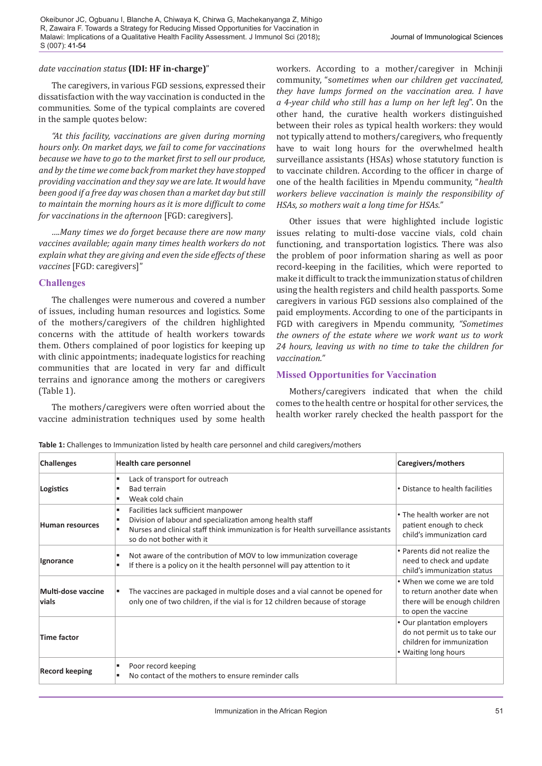### *date vaccination status* **(IDI: HF in-charge)**"

The caregivers, in various FGD sessions, expressed their dissatisfaction with the way vaccination is conducted in the communities. Some of the typical complaints are covered in the sample quotes below:

*"At this facility, vaccinations are given during morning hours only. On market days, we fail to come for vaccinations because we have to go to the market first to sell our produce, and by the time we come back from market they have stopped providing vaccination and they say we are late. It would have been good if a free day was chosen than a market day but still to maintain the morning hours as it is more difficult to come for vaccinations in the afternoon* [FGD: caregivers].

*….Many times we do forget because there are now many vaccines available; again many times health workers do not explain what they are giving and even the side effects of these vaccines* [FGD: caregivers]"

### **Challenges**

The challenges were numerous and covered a number of issues, including human resources and logistics. Some of the mothers/caregivers of the children highlighted concerns with the attitude of health workers towards them. Others complained of poor logistics for keeping up with clinic appointments; inadequate logistics for reaching communities that are located in very far and difficult terrains and ignorance among the mothers or caregivers (Table 1).

The mothers/caregivers were often worried about the vaccine administration techniques used by some health workers. According to a mother/caregiver in Mchinji community, "s*ometimes when our children get vaccinated, they have lumps formed on the vaccination area. I have a 4-year child who still has a lump on her left leg*". On the other hand, the curative health workers distinguished between their roles as typical health workers: they would not typically attend to mothers/caregivers, who frequently have to wait long hours for the overwhelmed health surveillance assistants (HSAs) whose statutory function is to vaccinate children. According to the officer in charge of one of the health facilities in Mpendu community, "*health workers believe vaccination is mainly the responsibility of HSAs, so mothers wait a long time for HSAs."*

Other issues that were highlighted include logistic issues relating to multi-dose vaccine vials, cold chain functioning, and transportation logistics. There was also the problem of poor information sharing as well as poor record-keeping in the facilities, which were reported to make it difficult to track the immunization status of children using the health registers and child health passports. Some caregivers in various FGD sessions also complained of the paid employments. According to one of the participants in FGD with caregivers in Mpendu community, *"Sometimes the owners of the estate where we work want us to work 24 hours, leaving us with no time to take the children for vaccination."*

# **Missed Opportunities for Vaccination**

Mothers/caregivers indicated that when the child comes to the health centre or hospital for other services, the health worker rarely checked the health passport for the

| <b>Challenges</b>           | <b>Health care personnel</b>                                                                                                                                                                                           | Caregivers/mothers                                                                                                |
|-----------------------------|------------------------------------------------------------------------------------------------------------------------------------------------------------------------------------------------------------------------|-------------------------------------------------------------------------------------------------------------------|
| Logistics                   | Lack of transport for outreach<br><b>Bad terrain</b><br>Weak cold chain                                                                                                                                                | • Distance to health facilities                                                                                   |
| Human resources             | Facilities lack sufficient manpower<br>Division of labour and specialization among health staff<br>٠<br>Nurses and clinical staff think immunization is for Health surveillance assistants<br>so do not bother with it | • The health worker are not<br>patient enough to check<br>child's immunization card                               |
| Ignorance                   | Not aware of the contribution of MOV to low immunization coverage<br>If there is a policy on it the health personnel will pay attention to it                                                                          | • Parents did not realize the<br>need to check and update<br>child's immunization status                          |
| Multi-dose vaccine<br>vials | The vaccines are packaged in multiple doses and a vial cannot be opened for<br>only one of two children, if the vial is for 12 children because of storage                                                             | • When we come we are told<br>to return another date when<br>there will be enough children<br>to open the vaccine |
| <b>Time factor</b>          |                                                                                                                                                                                                                        | • Our plantation employers<br>do not permit us to take our<br>children for immunization<br>• Waiting long hours   |
| <b>Record keeping</b>       | Poor record keeping<br>No contact of the mothers to ensure reminder calls                                                                                                                                              |                                                                                                                   |

**Table 1:** Challenges to Immunization listed by health care personnel and child caregivers/mothers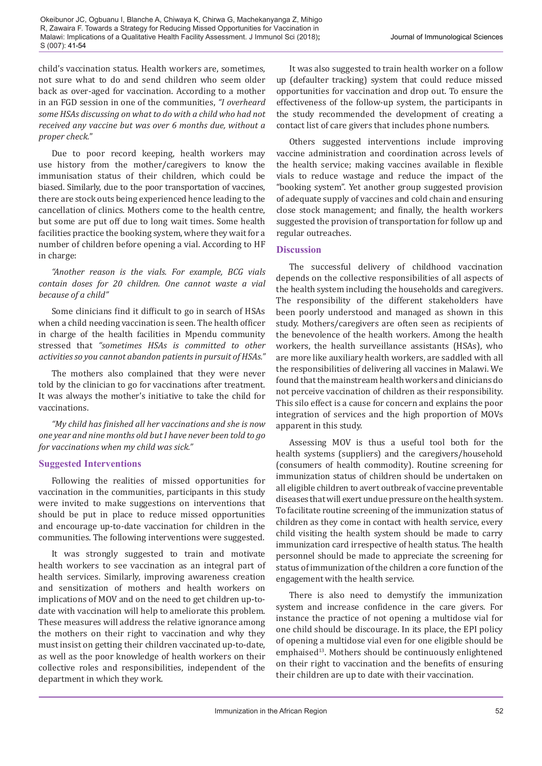Okeibunor JC, Ogbuanu I, Blanche A, Chiwaya K, Chirwa G, Machekanyanga Z, Mihigo R, Zawaira F. Towards a Strategy for Reducing Missed Opportunities for Vaccination in Malawi: Implications of a Qualitative Health Facility Assessment. J Immunol Sci (2018)**;** S (007): 41-54

child's vaccination status. Health workers are, sometimes, not sure what to do and send children who seem older back as over-aged for vaccination. According to a mother in an FGD session in one of the communities, *"I overheard some HSAs discussing on what to do with a child who had not received any vaccine but was over 6 months due, without a proper check.*"

Due to poor record keeping, health workers may use history from the mother/caregivers to know the immunisation status of their children, which could be biased. Similarly, due to the poor transportation of vaccines, there are stock outs being experienced hence leading to the cancellation of clinics. Mothers come to the health centre, but some are put off due to long wait times. Some health facilities practice the booking system, where they wait for a number of children before opening a vial. According to HF in charge:

### *"Another reason is the vials. For example, BCG vials contain doses for 20 children. One cannot waste a vial because of a child"*

Some clinicians find it difficult to go in search of HSAs when a child needing vaccination is seen. The health officer in charge of the health facilities in Mpendu community stressed that *"sometimes HSAs is committed to other activities so you cannot abandon patients in pursuit of HSAs."*

The mothers also complained that they were never told by the clinician to go for vaccinations after treatment. It was always the mother's initiative to take the child for vaccinations.

*"My child has finished all her vaccinations and she is now one year and nine months old but I have never been told to go for vaccinations when my child was sick."* 

# **Suggested Interventions**

Following the realities of missed opportunities for vaccination in the communities, participants in this study were invited to make suggestions on interventions that should be put in place to reduce missed opportunities and encourage up-to-date vaccination for children in the communities. The following interventions were suggested.

It was strongly suggested to train and motivate health workers to see vaccination as an integral part of health services. Similarly, improving awareness creation and sensitization of mothers and health workers on implications of MOV and on the need to get children up-todate with vaccination will help to ameliorate this problem. These measures will address the relative ignorance among the mothers on their right to vaccination and why they must insist on getting their children vaccinated up-to-date, as well as the poor knowledge of health workers on their collective roles and responsibilities, independent of the department in which they work.

It was also suggested to train health worker on a follow up (defaulter tracking) system that could reduce missed opportunities for vaccination and drop out. To ensure the effectiveness of the follow-up system, the participants in the study recommended the development of creating a contact list of care givers that includes phone numbers.

Others suggested interventions include improving vaccine administration and coordination across levels of the health service; making vaccines available in flexible vials to reduce wastage and reduce the impact of the "booking system". Yet another group suggested provision of adequate supply of vaccines and cold chain and ensuring close stock management; and finally, the health workers suggested the provision of transportation for follow up and regular outreaches.

# **Discussion**

The successful delivery of childhood vaccination depends on the collective responsibilities of all aspects of the health system including the households and caregivers. The responsibility of the different stakeholders have been poorly understood and managed as shown in this study. Mothers/caregivers are often seen as recipients of the benevolence of the health workers. Among the health workers, the health surveillance assistants (HSAs), who are more like auxiliary health workers, are saddled with all the responsibilities of delivering all vaccines in Malawi. We found that the mainstream health workers and clinicians do not perceive vaccination of children as their responsibility. This silo effect is a cause for concern and explains the poor integration of services and the high proportion of MOVs apparent in this study.

Assessing MOV is thus a useful tool both for the health systems (suppliers) and the caregivers/household (consumers of health commodity). Routine screening for immunization status of children should be undertaken on all eligible children to avert outbreak of vaccine preventable diseases that will exert undue pressure on the health system. To facilitate routine screening of the immunization status of children as they come in contact with health service, every child visiting the health system should be made to carry immunization card irrespective of health status. The health personnel should be made to appreciate the screening for status of immunization of the children a core function of the engagement with the health service.

There is also need to demystify the immunization system and increase confidence in the care givers. For instance the practice of not opening a multidose vial for one child should be discourage. In its place, the EPI policy of opening a multidose vial even for one eligible should be emphaised<sup>13</sup>. Mothers should be continuously enlightened on their right to vaccination and the benefits of ensuring their children are up to date with their vaccination.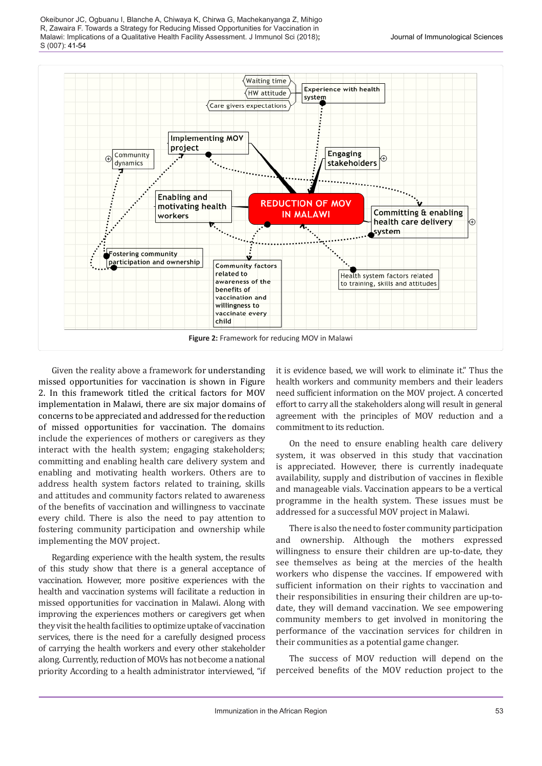Okeibunor JC, Ogbuanu I, Blanche A, Chiwaya K, Chirwa G, Machekanyanga Z, Mihigo R, Zawaira F. Towards a Strategy for Reducing Missed Opportunities for Vaccination in Malawi: Implications of a Qualitative Health Facility Assessment. J Immunol Sci (2018)**;** S (007): 41-54



Given the reality above a framework for understanding missed opportunities for vaccination is shown in Figure 2. In this framework titled the critical factors for MOV implementation in Malawi, there are six major domains of concerns to be appreciated and addressed for the reduction of missed opportunities for vaccination. The domains include the experiences of mothers or caregivers as they interact with the health system; engaging stakeholders; committing and enabling health care delivery system and enabling and motivating health workers. Others are to address health system factors related to training, skills and attitudes and community factors related to awareness of the benefits of vaccination and willingness to vaccinate every child. There is also the need to pay attention to fostering community participation and ownership while implementing the MOV project.

Regarding experience with the health system, the results of this study show that there is a general acceptance of vaccination. However, more positive experiences with the health and vaccination systems will facilitate a reduction in missed opportunities for vaccination in Malawi. Along with improving the experiences mothers or caregivers get when they visit the health facilities to optimize uptake of vaccination services, there is the need for a carefully designed process of carrying the health workers and every other stakeholder along. Currently, reduction of MOVs has not become a national priority According to a health administrator interviewed, "if it is evidence based, we will work to eliminate it." Thus the health workers and community members and their leaders need sufficient information on the MOV project. A concerted effort to carry all the stakeholders along will result in general agreement with the principles of MOV reduction and a commitment to its reduction.

On the need to ensure enabling health care delivery system, it was observed in this study that vaccination is appreciated. However, there is currently inadequate availability, supply and distribution of vaccines in flexible and manageable vials. Vaccination appears to be a vertical programme in the health system. These issues must be addressed for a successful MOV project in Malawi.

There is also the need to foster community participation and ownership. Although the mothers expressed willingness to ensure their children are up-to-date, they see themselves as being at the mercies of the health workers who dispense the vaccines. If empowered with sufficient information on their rights to vaccination and their responsibilities in ensuring their children are up-todate, they will demand vaccination. We see empowering community members to get involved in monitoring the performance of the vaccination services for children in their communities as a potential game changer.

The success of MOV reduction will depend on the perceived benefits of the MOV reduction project to the